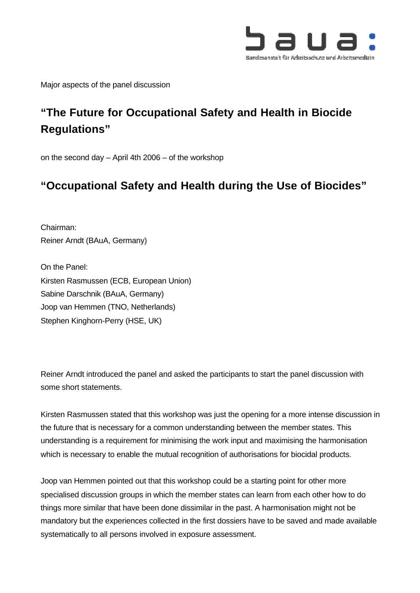

Major aspects of the panel discussion

# **"The Future for Occupational Safety and Health in Biocide Regulations"**

on the second day – April 4th 2006 – of the workshop

## **"Occupational Safety and Health during the Use of Biocides"**

Chairman: Reiner Arndt (BAuA, Germany)

On the Panel: Kirsten Rasmussen (ECB, European Union) Sabine Darschnik (BAuA, Germany) Joop van Hemmen (TNO, Netherlands) Stephen Kinghorn-Perry (HSE, UK)

Reiner Arndt introduced the panel and asked the participants to start the panel discussion with some short statements.

Kirsten Rasmussen stated that this workshop was just the opening for a more intense discussion in the future that is necessary for a common understanding between the member states. This understanding is a requirement for minimising the work input and maximising the harmonisation which is necessary to enable the mutual recognition of authorisations for biocidal products.

Joop van Hemmen pointed out that this workshop could be a starting point for other more specialised discussion groups in which the member states can learn from each other how to do things more similar that have been done dissimilar in the past. A harmonisation might not be mandatory but the experiences collected in the first dossiers have to be saved and made available systematically to all persons involved in exposure assessment.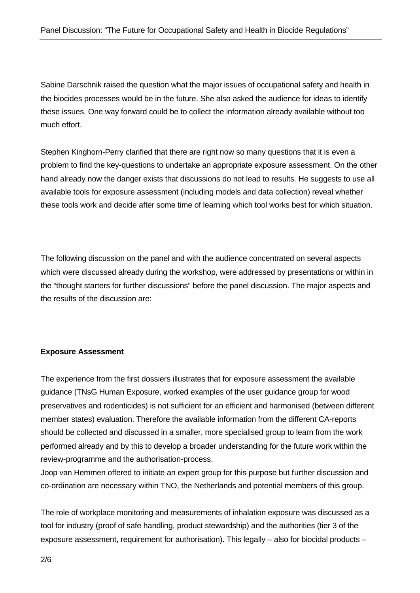Sabine Darschnik raised the question what the major issues of occupational safety and health in the biocides processes would be in the future. She also asked the audience for ideas to identify these issues. One way forward could be to collect the information already available without too much effort.

Stephen Kinghorn-Perry clarified that there are right now so many questions that it is even a problem to find the key-questions to undertake an appropriate exposure assessment. On the other hand already now the danger exists that discussions do not lead to results. He suggests to use all available tools for exposure assessment (including models and data collection) reveal whether these tools work and decide after some time of learning which tool works best for which situation.

The following discussion on the panel and with the audience concentrated on several aspects which were discussed already during the workshop, were addressed by presentations or within in the "thought starters for further discussions" before the panel discussion. The major aspects and the results of the discussion are:

#### **Exposure Assessment**

The experience from the first dossiers illustrates that for exposure assessment the available guidance (TNsG Human Exposure, worked examples of the user guidance group for wood preservatives and rodenticides) is not sufficient for an efficient and harmonised (between different member states) evaluation. Therefore the available information from the different CA-reports should be collected and discussed in a smaller, more specialised group to learn from the work performed already and by this to develop a broader understanding for the future work within the review-programme and the authorisation-process.

Joop van Hemmen offered to initiate an expert group for this purpose but further discussion and co-ordination are necessary within TNO, the Netherlands and potential members of this group.

The role of workplace monitoring and measurements of inhalation exposure was discussed as a tool for industry (proof of safe handling, product stewardship) and the authorities (tier 3 of the exposure assessment, requirement for authorisation). This legally – also for biocidal products –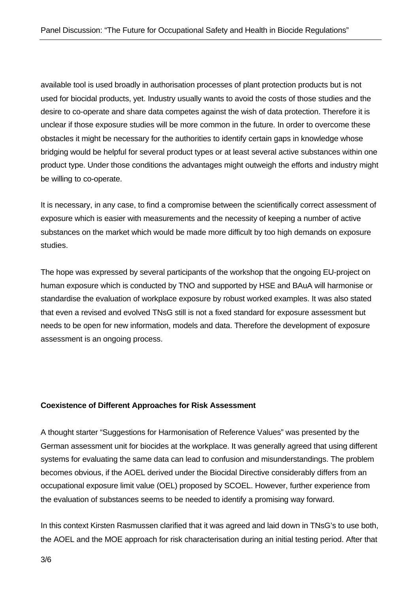available tool is used broadly in authorisation processes of plant protection products but is not used for biocidal products, yet. Industry usually wants to avoid the costs of those studies and the desire to co-operate and share data competes against the wish of data protection. Therefore it is unclear if those exposure studies will be more common in the future. In order to overcome these obstacles it might be necessary for the authorities to identify certain gaps in knowledge whose bridging would be helpful for several product types or at least several active substances within one product type. Under those conditions the advantages might outweigh the efforts and industry might be willing to co-operate.

It is necessary, in any case, to find a compromise between the scientifically correct assessment of exposure which is easier with measurements and the necessity of keeping a number of active substances on the market which would be made more difficult by too high demands on exposure studies.

The hope was expressed by several participants of the workshop that the ongoing EU-project on human exposure which is conducted by TNO and supported by HSE and BAuA will harmonise or standardise the evaluation of workplace exposure by robust worked examples. It was also stated that even a revised and evolved TNsG still is not a fixed standard for exposure assessment but needs to be open for new information, models and data. Therefore the development of exposure assessment is an ongoing process.

## **Coexistence of Different Approaches for Risk Assessment**

A thought starter "Suggestions for Harmonisation of Reference Values" was presented by the German assessment unit for biocides at the workplace. It was generally agreed that using different systems for evaluating the same data can lead to confusion and misunderstandings. The problem becomes obvious, if the AOEL derived under the Biocidal Directive considerably differs from an occupational exposure limit value (OEL) proposed by SCOEL. However, further experience from the evaluation of substances seems to be needed to identify a promising way forward.

In this context Kirsten Rasmussen clarified that it was agreed and laid down in TNsG's to use both, the AOEL and the MOE approach for risk characterisation during an initial testing period. After that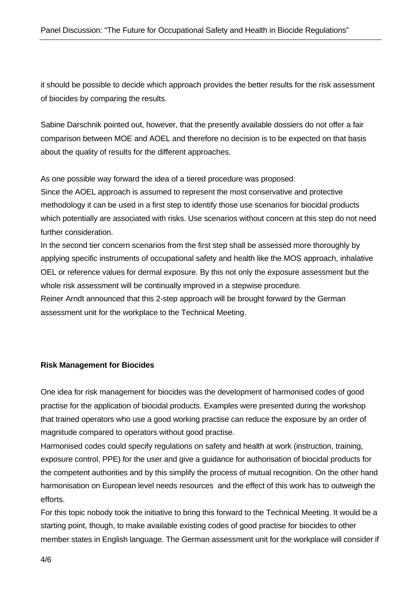it should be possible to decide which approach provides the better results for the risk assessment of biocides by comparing the results.

Sabine Darschnik pointed out, however, that the presently available dossiers do not offer a fair comparison between MOE and AOEL and therefore no decision is to be expected on that basis about the quality of results for the different approaches.

As one possible way forward the idea of a tiered procedure was proposed:

Since the AOEL approach is assumed to represent the most conservative and protective methodology it can be used in a first step to identify those use scenarios for biocidal products which potentially are associated with risks. Use scenarios without concern at this step do not need further consideration.

In the second tier concern scenarios from the first step shall be assessed more thoroughly by applying specific instruments of occupational safety and health like the MOS approach, inhalative OEL or reference values for dermal exposure. By this not only the exposure assessment but the whole risk assessment will be continually improved in a stepwise procedure. Reiner Arndt announced that this 2-step approach will be brought forward by the German assessment unit for the workplace to the Technical Meeting.

#### **Risk Management for Biocides**

One idea for risk management for biocides was the development of harmonised codes of good practise for the application of biocidal products. Examples were presented during the workshop that trained operators who use a good working practise can reduce the exposure by an order of magnitude compared to operators without good practise.

Harmonised codes could specify regulations on safety and health at work (instruction, training, exposure control, PPE) for the user and give a guidance for authorisation of biocidal products for the competent authorities and by this simplify the process of mutual recognition. On the other hand harmonisation on European level needs resources and the effect of this work has to outweigh the efforts.

For this topic nobody took the initiative to bring this forward to the Technical Meeting. It would be a starting point, though, to make available existing codes of good practise for biocides to other member states in English language. The German assessment unit for the workplace will consider if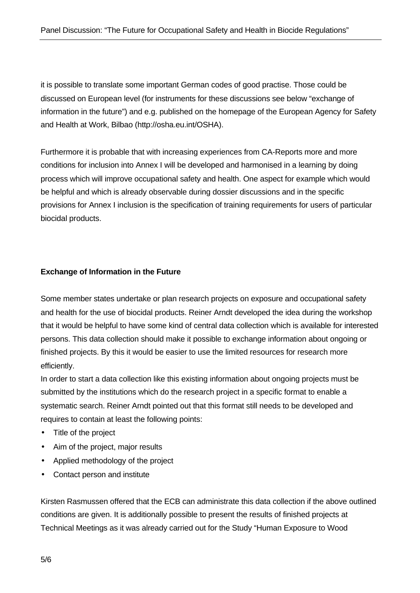it is possible to translate some important German codes of good practise. Those could be discussed on European level (for instruments for these discussions see below "exchange of information in the future") and e.g. published on the homepage of the European Agency for Safety and Health at Work, Bilbao (http://osha.eu.int/OSHA).

Furthermore it is probable that with increasing experiences from CA-Reports more and more conditions for inclusion into Annex I will be developed and harmonised in a learning by doing process which will improve occupational safety and health. One aspect for example which would be helpful and which is already observable during dossier discussions and in the specific provisions for Annex I inclusion is the specification of training requirements for users of particular biocidal products.

## **Exchange of Information in the Future**

Some member states undertake or plan research projects on exposure and occupational safety and health for the use of biocidal products. Reiner Arndt developed the idea during the workshop that it would be helpful to have some kind of central data collection which is available for interested persons. This data collection should make it possible to exchange information about ongoing or finished projects. By this it would be easier to use the limited resources for research more efficiently.

In order to start a data collection like this existing information about ongoing projects must be submitted by the institutions which do the research project in a specific format to enable a systematic search. Reiner Arndt pointed out that this format still needs to be developed and requires to contain at least the following points:

- Title of the project
- Aim of the project, major results
- Applied methodology of the project
- Contact person and institute

Kirsten Rasmussen offered that the ECB can administrate this data collection if the above outlined conditions are given. It is additionally possible to present the results of finished projects at Technical Meetings as it was already carried out for the Study "Human Exposure to Wood